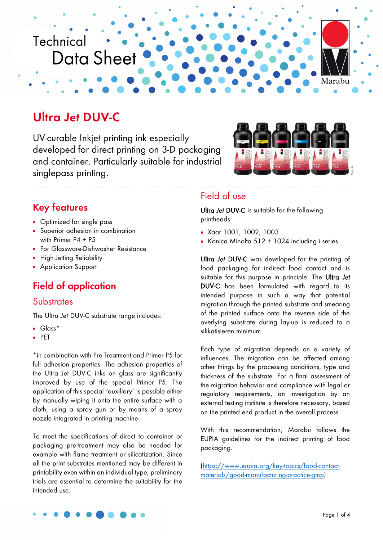

# **Ultra** *Jet* **DUV-C**

UV-curable Inkjet printing ink especially developed for direct printing on 3-D packaging and container. Particularly suitable for industrial singlepass printing.



### **Key features**

- Optimized for single pass
- Superior adhesion in combination with Primer P4 + P5
- For Glassware-Dishwasher Resistance
- High Jetting Reliability
- Application Support

## **Field of application**

#### **Substrates**

The Ultra *Jet* DUV-C substrate range includes:

- Glass\*
- PET

\*in combination with Pre-Treatment and Primer P5 for full adhesion properties. The adhesion properties of the Ultra Jet DUV-C inks on glass are significantly improved by use of the special Primer P5. The application of this special "auxiliary" is possible either by manually wiping it onto the entire surface with a cloth, using a spray gun or by means of a spray nozzle integrated in printing machine.

To meet the specifications of direct to container or packaging pre-treatment may also be needed for example with flame treatment or silicatization. Since all the print substrates mentioned may be different in printability even within an individual type, preliminary trials are essential to determine the suitability for the intended use.

#### Field of use

Ultra *Jet* DUV-C is suitable for the following printheads:

- Xaar 1001, 1002, 1003
- Konica Minolta 512 + 1024 including i series

Ultra *Jet* DUV-C was developed for the printing of food packaging for indirect food contact and is suitable for this purpose in principle. The Ultra *Jet* DUV-C has been formulated with regard to its intended purpose in such a way that potential migration through the printed substrate and smearing of the printed surface onto the reverse side of the overlying substrate during lay-up is reduced to a silikatisieren minimum.

Each type of migration depends on a variety of influences. The migration can be affected among other things by the processing conditions, type and thickness of the substrate. For a final assessment of the migration behavior and compliance with legal or regulatory requirements, an investigation by an external testing institute is therefore necessary, based on the printed end product in the overall process.

With this recommendation, Marabu follows the EUPIA guidelines for the indirect printing of food packaging.

[\(https://www.eupia.org/key-topics/food-contact](https://www.eupia.org/key-topics/food-contact-materials/good-manufacturing-practice-gmp)[materials/good-manufacturing-practice-gmp\)](https://www.eupia.org/key-topics/food-contact-materials/good-manufacturing-practice-gmp).

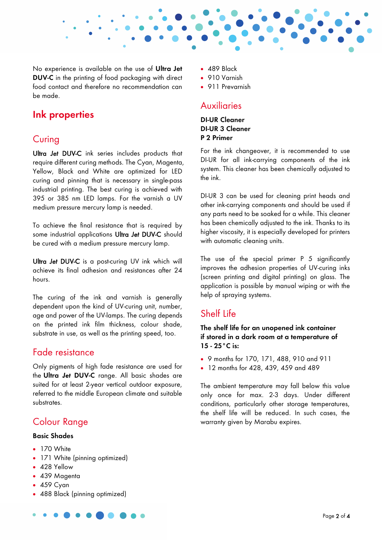

No experience is available on the use of **Ultra Jet DUV-C** in the printing of food packaging with direct food contact and therefore no recommendation can be made.

### **Ink properties**

### **Curing**

Ultra *Jet* DUV-C ink series includes products that require different curing methods. The Cyan, Magenta, Yellow, Black and White are optimized for LED curing and pinning that is necessary in single-pass industrial printing. The best curing is achieved with 395 or 385 nm LED lamps. For the varnish a UV medium pressure mercury lamp is needed.

To achieve the final resistance that is required by some industrial applications Ultra *Jet* DUV-C should be cured with a medium pressure mercury lamp.

Ultra *Jet* DUV-C is a post-curing UV ink which will achieve its final adhesion and resistances after 24 hours.

The curing of the ink and varnish is generally dependent upon the kind of UV-curing unit, number, age and power of the UV-lamps. The curing depends on the printed ink film thickness, colour shade, substrate in use, as well as the printing speed, too.

#### Fade resistance

Only pigments of high fade resistance are used for the **Ultra** *Jet* **DUV-C** range. All basic shades are suited for at least 2-year vertical outdoor exposure, referred to the middle European climate and suitable substrates.

## Colour Range

#### **Basic Shades**

- 170 White
- 171 White (pinning optimized)
- 428 Yellow
- 439 Magenta
- 459 Cyan
- 488 Black (pinning optimized)
- 489 Black
- 910 Varnish
- 911 Prevarnish

### **Auxiliaries**

#### **DI-UR Cleaner DI-UR 3 Cleaner P 2 Primer**

For the ink changeover, it is recommended to use DI-UR for all ink-carrying components of the ink system. This cleaner has been chemically adjusted to the ink.

DI-UR 3 can be used for cleaning print heads and other ink-carrying components and should be used if any parts need to be soaked for a while. This cleaner has been chemically adjusted to the ink. Thanks to its higher viscosity, it is especially developed for printers with automatic cleaning units.

The use of the special primer P 5 significantly improves the adhesion properties of UV-curing inks (screen printing and digital printing) on glass. The application is possible by manual wiping or with the help of spraying systems.

#### Shelf Life

**The shelf life for an unopened ink container if stored in a dark room at a temperature of 15 - 25°C is:** 

- 9 months for 170, 171, 488, 910 and 911
- 12 months for 428, 439, 459 and 489

The ambient temperature may fall below this value only once for max. 2-3 days. Under different conditions, particularly other storage temperatures, the shelf life will be reduced. In such cases, the warranty given by Marabu expires.

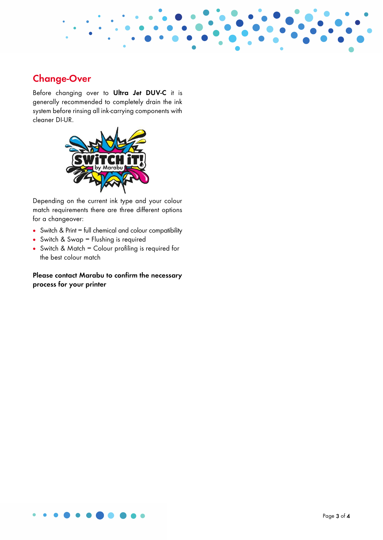

## **Change-Over**

Before changing over to **Ultra** *Jet* **DUV-C** it is generally recommended to completely drain the ink system before rinsing all ink-carrying components with cleaner DI-UR.



Depending on the current ink type and your colour match requirements there are three different options for a changeover:

- Switch & Print = full chemical and colour compatibility
- Switch & Swap = Flushing is required
- Switch & Match = Colour profiling is required for the best colour match

#### **Please contact Marabu to confirm the necessary process for your printer**